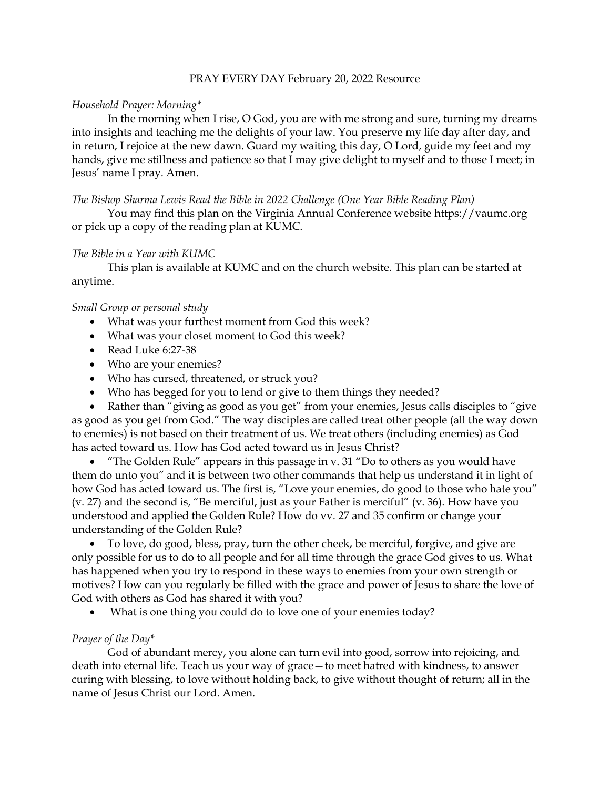#### PRAY EVERY DAY February 20, 2022 Resource

## *Household Prayer: Morning\**

In the morning when I rise, O God, you are with me strong and sure, turning my dreams into insights and teaching me the delights of your law. You preserve my life day after day, and in return, I rejoice at the new dawn. Guard my waiting this day, O Lord, guide my feet and my hands, give me stillness and patience so that I may give delight to myself and to those I meet; in Jesus' name I pray. Amen.

*The Bishop Sharma Lewis Read the Bible in 2022 Challenge (One Year Bible Reading Plan)*

You may find this plan on the Virginia Annual Conference website [https://vaumc.org](https://vaumc.org/) or pick up a copy of the reading plan at KUMC.

### *The Bible in a Year with KUMC*

This plan is available at KUMC and on the church website. This plan can be started at anytime.

### *Small Group or personal study*

- What was your furthest moment from God this week?
- What was your closet moment to God this week?
- Read Luke 6:27-38
- Who are your enemies?
- Who has cursed, threatened, or struck you?
- Who has begged for you to lend or give to them things they needed?

• Rather than "giving as good as you get" from your enemies, Jesus calls disciples to "give" as good as you get from God." The way disciples are called treat other people (all the way down to enemies) is not based on their treatment of us. We treat others (including enemies) as God has acted toward us. How has God acted toward us in Jesus Christ?

"The Golden Rule" appears in this passage in v.  $31$  "Do to others as you would have them do unto you" and it is between two other commands that help us understand it in light of how God has acted toward us. The first is, "Love your enemies, do good to those who hate you" (v. 27) and the second is, "Be merciful, just as your Father is merciful" (v. 36). How have you understood and applied the Golden Rule? How do vv. 27 and 35 confirm or change your understanding of the Golden Rule?

• To love, do good, bless, pray, turn the other cheek, be merciful, forgive, and give are only possible for us to do to all people and for all time through the grace God gives to us. What has happened when you try to respond in these ways to enemies from your own strength or motives? How can you regularly be filled with the grace and power of Jesus to share the love of God with others as God has shared it with you?

What is one thing you could do to love one of your enemies today?

# *Prayer of the Day\**

God of abundant mercy, you alone can turn evil into good, sorrow into rejoicing, and death into eternal life. Teach us your way of grace—to meet hatred with kindness, to answer curing with blessing, to love without holding back, to give without thought of return; all in the name of Jesus Christ our Lord. Amen.